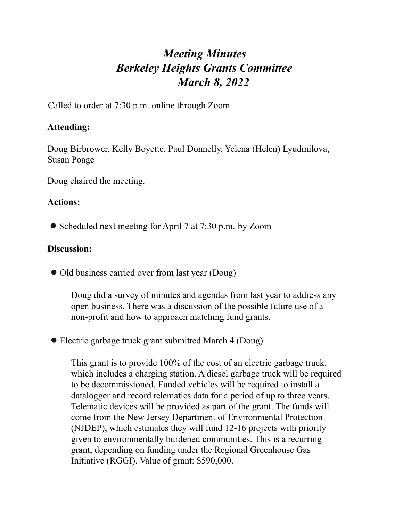## *Meeting Minutes Berkeley Heights Grants Committee March 8, 2022*

Called to order at 7:30 p.m. online through Zoom

## **Attending:**

Doug Birbrower, Kelly Boyette, Paul Donnelly, Yelena (Helen) Lyudmilova, Susan Poage

Doug chaired the meeting.

## **Actions:**

● Scheduled next meeting for April 7 at 7:30 p.m. by Zoom

## **Discussion:**

• Old business carried over from last year (Doug)

Doug did a survey of minutes and agendas from last year to address any open business. There was a discussion of the possible future use of a non-profit and how to approach matching fund grants.

• Electric garbage truck grant submitted March 4 (Doug)

This grant is to provide 100% of the cost of an electric garbage truck, which includes a charging station. A diesel garbage truck will be required to be decommissioned. Funded vehicles will be required to install a datalogger and record telematics data for a period of up to three years. Telematic devices will be provided as part of the grant. The funds will come from the New Jersey Department of Environmental Protection (NJDEP), which estimates they will fund 12-16 projects with priority given to environmentally burdened communities. This is a recurring grant, depending on funding under the Regional Greenhouse Gas Initiative (RGGI). Value of grant: \$590,000.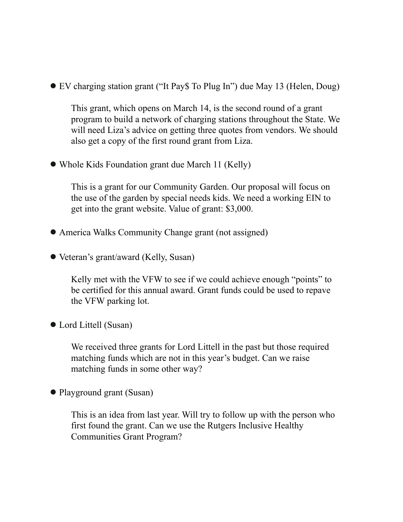● EV charging station grant ("It Pay\$ To Plug In") due May 13 (Helen, Doug)

This grant, which opens on March 14, is the second round of a grant program to build a network of charging stations throughout the State. We will need Liza's advice on getting three quotes from vendors. We should also get a copy of the first round grant from Liza.

• Whole Kids Foundation grant due March 11 (Kelly)

This is a grant for our Community Garden. Our proposal will focus on the use of the garden by special needs kids. We need a working EIN to get into the grant website. Value of grant: \$3,000.

- America Walks Community Change grant (not assigned)
- Veteran's grant/award (Kelly, Susan)

Kelly met with the VFW to see if we could achieve enough "points" to be certified for this annual award. Grant funds could be used to repave the VFW parking lot.

● Lord Littell (Susan)

We received three grants for Lord Littell in the past but those required matching funds which are not in this year's budget. Can we raise matching funds in some other way?

● Playground grant (Susan)

This is an idea from last year. Will try to follow up with the person who first found the grant. Can we use the Rutgers Inclusive Healthy Communities Grant Program?